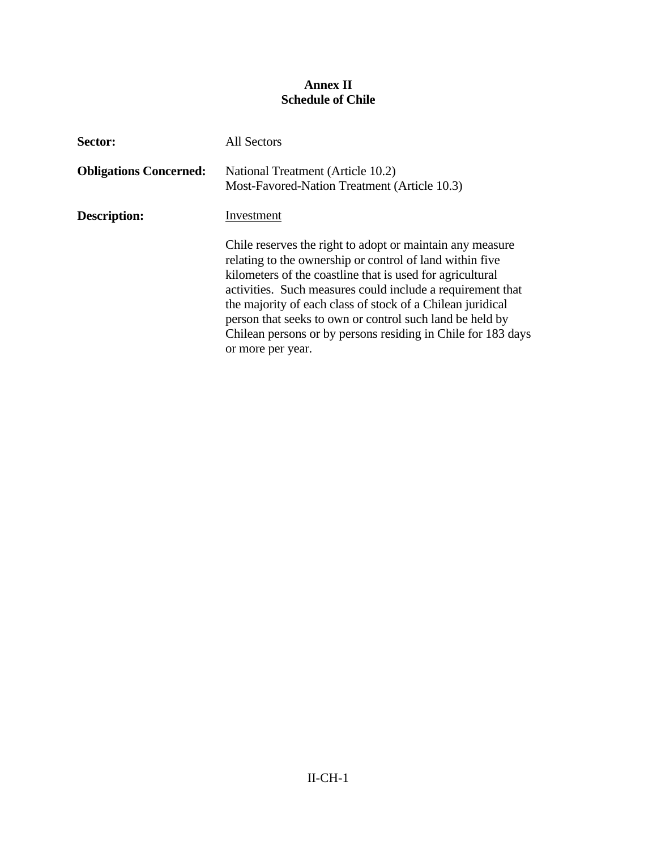## **Annex II Schedule of Chile**

| Sector:                       | <b>All Sectors</b>                                                                                                                                                                                                                                                                                                                                                                                                                                              |
|-------------------------------|-----------------------------------------------------------------------------------------------------------------------------------------------------------------------------------------------------------------------------------------------------------------------------------------------------------------------------------------------------------------------------------------------------------------------------------------------------------------|
| <b>Obligations Concerned:</b> | National Treatment (Article 10.2)<br>Most-Favored-Nation Treatment (Article 10.3)                                                                                                                                                                                                                                                                                                                                                                               |
| <b>Description:</b>           | Investment                                                                                                                                                                                                                                                                                                                                                                                                                                                      |
|                               | Chile reserves the right to adopt or maintain any measure<br>relating to the ownership or control of land within five<br>kilometers of the coastline that is used for agricultural<br>activities. Such measures could include a requirement that<br>the majority of each class of stock of a Chilean juridical<br>person that seeks to own or control such land be held by<br>Chilean persons or by persons residing in Chile for 183 days<br>or more per year. |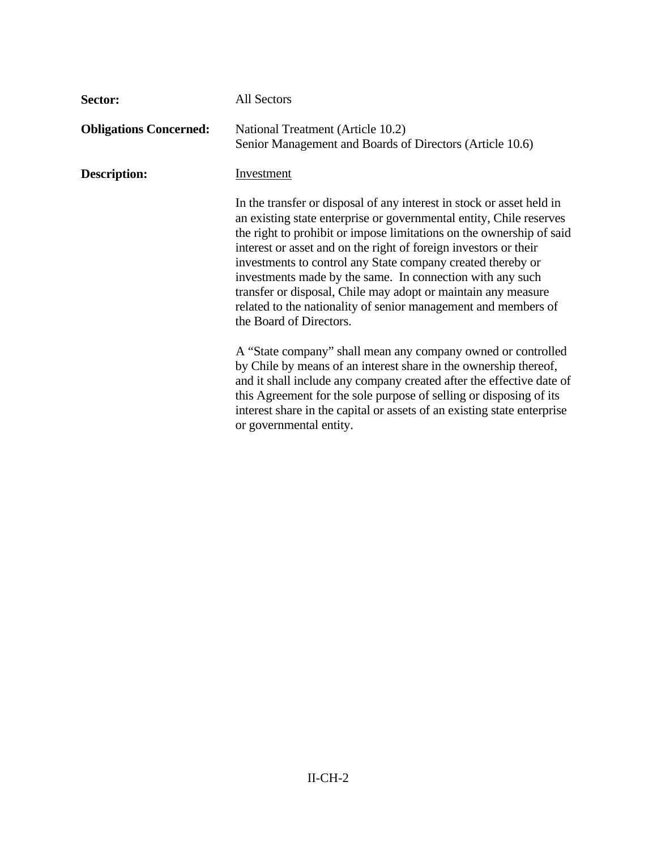| Sector:                       | <b>All Sectors</b>                                                                                                                                                                                                                                                                                                                                                                                                                                                                                                                                                                 |
|-------------------------------|------------------------------------------------------------------------------------------------------------------------------------------------------------------------------------------------------------------------------------------------------------------------------------------------------------------------------------------------------------------------------------------------------------------------------------------------------------------------------------------------------------------------------------------------------------------------------------|
| <b>Obligations Concerned:</b> | National Treatment (Article 10.2)<br>Senior Management and Boards of Directors (Article 10.6)                                                                                                                                                                                                                                                                                                                                                                                                                                                                                      |
| Description:                  | <b>Investment</b>                                                                                                                                                                                                                                                                                                                                                                                                                                                                                                                                                                  |
|                               | In the transfer or disposal of any interest in stock or asset held in<br>an existing state enterprise or governmental entity, Chile reserves<br>the right to prohibit or impose limitations on the ownership of said<br>interest or asset and on the right of foreign investors or their<br>investments to control any State company created thereby or<br>investments made by the same. In connection with any such<br>transfer or disposal, Chile may adopt or maintain any measure<br>related to the nationality of senior management and members of<br>the Board of Directors. |
|                               | A "State company" shall mean any company owned or controlled<br>by Chile by means of an interest share in the ownership thereof,<br>and it shall include any company created after the effective date of<br>this Agreement for the sole purpose of selling or disposing of its<br>interest share in the capital or assets of an existing state enterprise<br>or governmental entity.                                                                                                                                                                                               |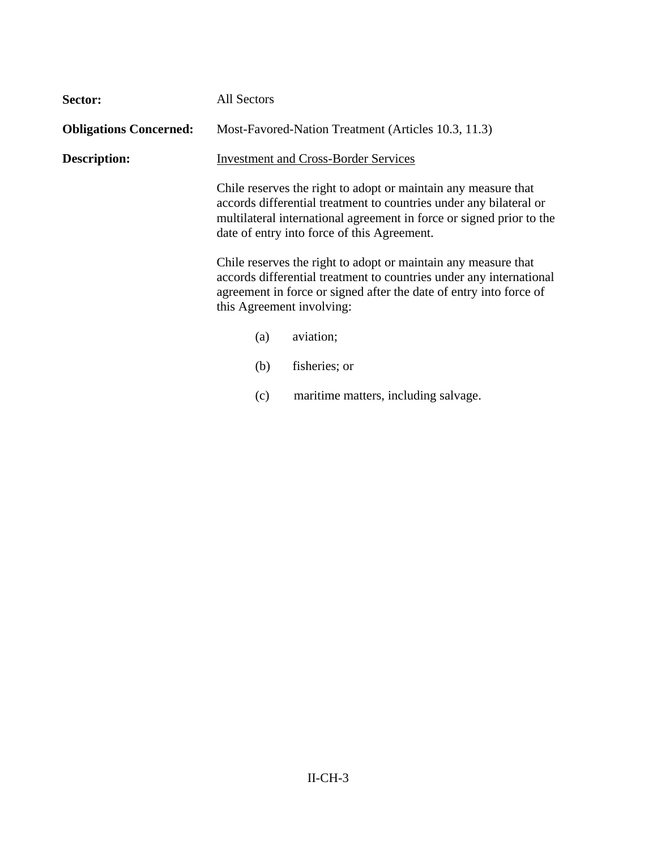| Sector:                       | All Sectors                                                                                                                                                                                                                              |                                                                                                                                                                                                                                                             |
|-------------------------------|------------------------------------------------------------------------------------------------------------------------------------------------------------------------------------------------------------------------------------------|-------------------------------------------------------------------------------------------------------------------------------------------------------------------------------------------------------------------------------------------------------------|
| <b>Obligations Concerned:</b> |                                                                                                                                                                                                                                          | Most-Favored-Nation Treatment (Articles 10.3, 11.3)                                                                                                                                                                                                         |
| Description:                  |                                                                                                                                                                                                                                          | <b>Investment and Cross-Border Services</b>                                                                                                                                                                                                                 |
|                               |                                                                                                                                                                                                                                          | Chile reserves the right to adopt or maintain any measure that<br>accords differential treatment to countries under any bilateral or<br>multilateral international agreement in force or signed prior to the<br>date of entry into force of this Agreement. |
|                               | Chile reserves the right to adopt or maintain any measure that<br>accords differential treatment to countries under any international<br>agreement in force or signed after the date of entry into force of<br>this Agreement involving: |                                                                                                                                                                                                                                                             |
|                               | (a)                                                                                                                                                                                                                                      | aviation;                                                                                                                                                                                                                                                   |
|                               | (b)                                                                                                                                                                                                                                      | fisheries; or                                                                                                                                                                                                                                               |
|                               | (c)                                                                                                                                                                                                                                      | maritime matters, including salvage.                                                                                                                                                                                                                        |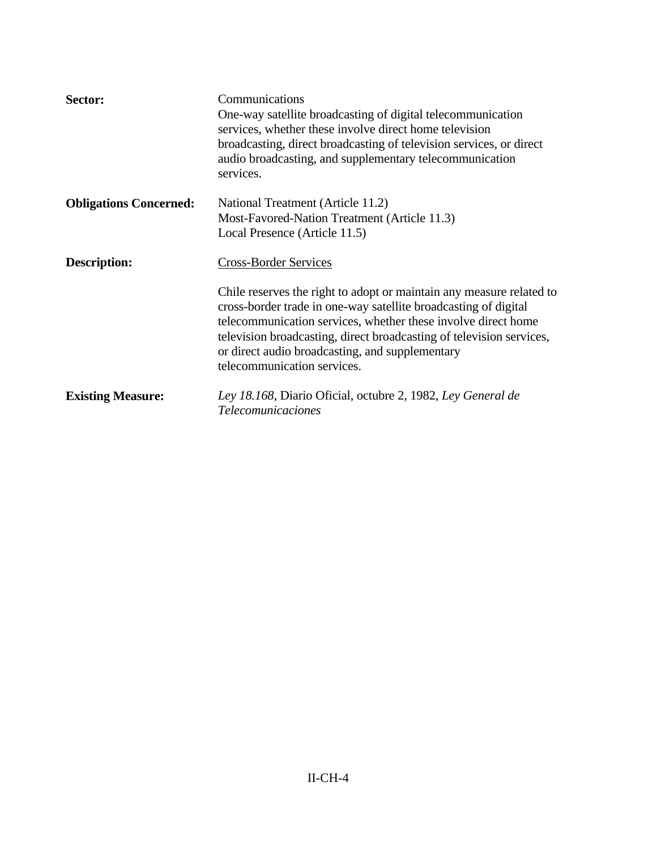| Sector:                       | Communications<br>One-way satellite broadcasting of digital telecommunication<br>services, whether these involve direct home television<br>broadcasting, direct broadcasting of television services, or direct<br>audio broadcasting, and supplementary telecommunication<br>services.                                                                                                             |  |
|-------------------------------|----------------------------------------------------------------------------------------------------------------------------------------------------------------------------------------------------------------------------------------------------------------------------------------------------------------------------------------------------------------------------------------------------|--|
| <b>Obligations Concerned:</b> | National Treatment (Article 11.2)<br>Most-Favored-Nation Treatment (Article 11.3)<br>Local Presence (Article 11.5)                                                                                                                                                                                                                                                                                 |  |
| <b>Description:</b>           | <b>Cross-Border Services</b><br>Chile reserves the right to adopt or maintain any measure related to<br>cross-border trade in one-way satellite broadcasting of digital<br>telecommunication services, whether these involve direct home<br>television broadcasting, direct broadcasting of television services,<br>or direct audio broadcasting, and supplementary<br>telecommunication services. |  |
| <b>Existing Measure:</b>      | Ley 18.168, Diario Oficial, octubre 2, 1982, Ley General de<br><b>Telecomunicaciones</b>                                                                                                                                                                                                                                                                                                           |  |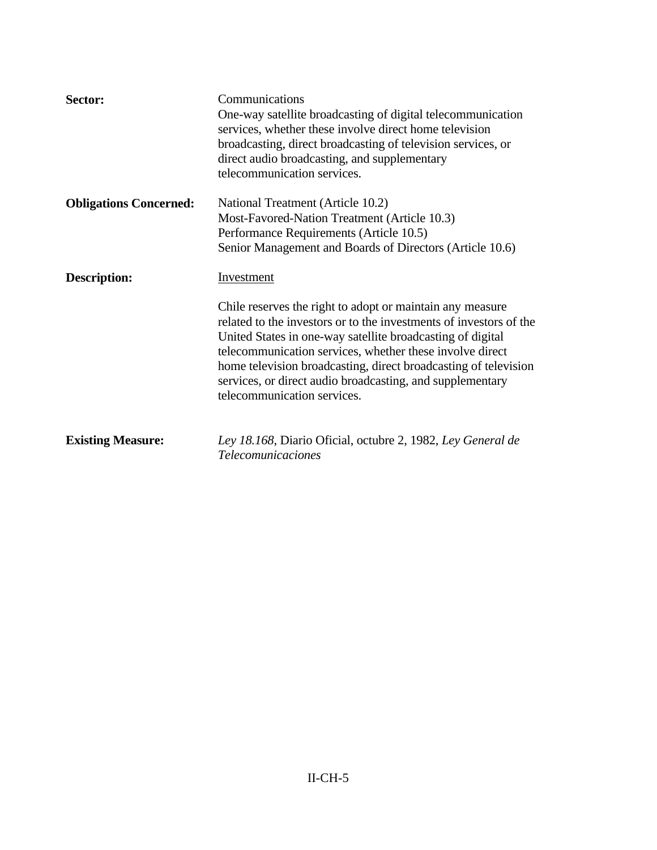| Sector:                       | Communications<br>One-way satellite broadcasting of digital telecommunication<br>services, whether these involve direct home television<br>broadcasting, direct broadcasting of television services, or<br>direct audio broadcasting, and supplementary<br>telecommunication services.                                                                                                                                                 |
|-------------------------------|----------------------------------------------------------------------------------------------------------------------------------------------------------------------------------------------------------------------------------------------------------------------------------------------------------------------------------------------------------------------------------------------------------------------------------------|
| <b>Obligations Concerned:</b> | National Treatment (Article 10.2)<br>Most-Favored-Nation Treatment (Article 10.3)<br>Performance Requirements (Article 10.5)<br>Senior Management and Boards of Directors (Article 10.6)                                                                                                                                                                                                                                               |
| <b>Description:</b>           | Investment<br>Chile reserves the right to adopt or maintain any measure<br>related to the investors or to the investments of investors of the<br>United States in one-way satellite broadcasting of digital<br>telecommunication services, whether these involve direct<br>home television broadcasting, direct broadcasting of television<br>services, or direct audio broadcasting, and supplementary<br>telecommunication services. |
| <b>Existing Measure:</b>      | Ley 18.168, Diario Oficial, octubre 2, 1982, Ley General de<br><b>Telecomunicaciones</b>                                                                                                                                                                                                                                                                                                                                               |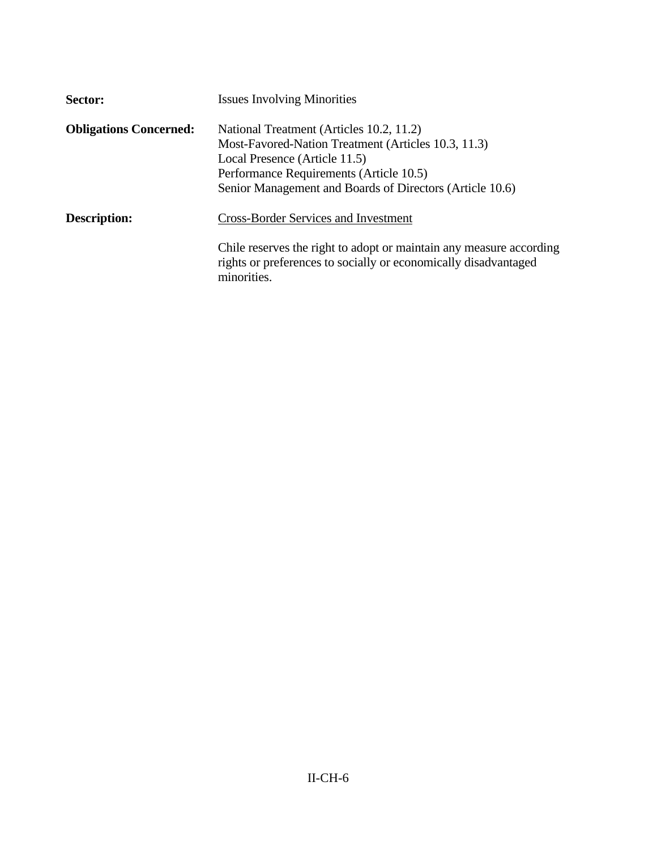| Sector:                       | <b>Issues Involving Minorities</b>                                                                                                                                                                                                      |
|-------------------------------|-----------------------------------------------------------------------------------------------------------------------------------------------------------------------------------------------------------------------------------------|
| <b>Obligations Concerned:</b> | National Treatment (Articles 10.2, 11.2)<br>Most-Favored-Nation Treatment (Articles 10.3, 11.3)<br>Local Presence (Article 11.5)<br>Performance Requirements (Article 10.5)<br>Senior Management and Boards of Directors (Article 10.6) |
| <b>Description:</b>           | <b>Cross-Border Services and Investment</b>                                                                                                                                                                                             |
|                               | Chile reserves the right to adopt or maintain any measure according<br>rights or preferences to socially or economically disadvantaged<br>minorities.                                                                                   |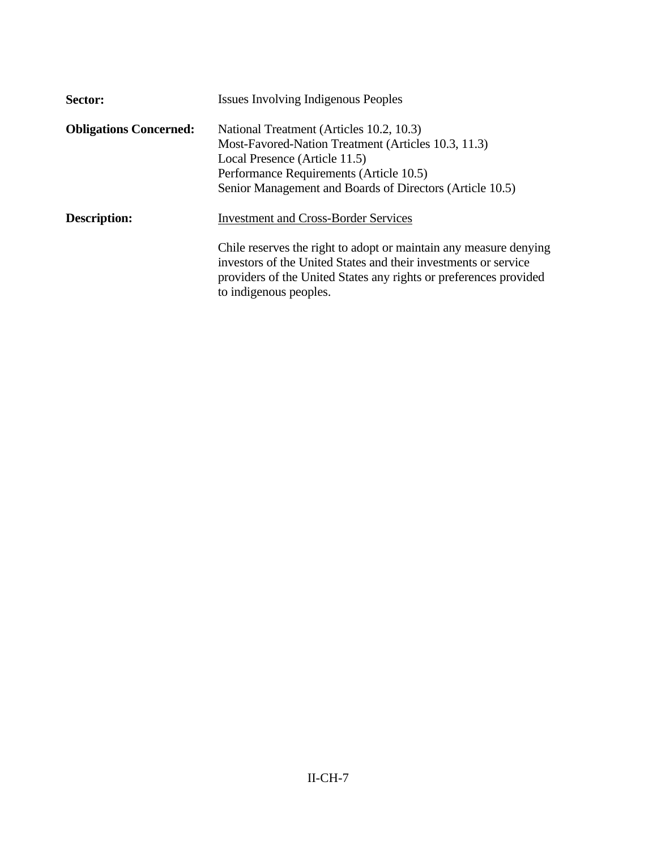| Sector:                       | <b>Issues Involving Indigenous Peoples</b>                                                                                                                                                                                                                                         |
|-------------------------------|------------------------------------------------------------------------------------------------------------------------------------------------------------------------------------------------------------------------------------------------------------------------------------|
| <b>Obligations Concerned:</b> | National Treatment (Articles 10.2, 10.3)<br>Most-Favored-Nation Treatment (Articles 10.3, 11.3)<br>Local Presence (Article 11.5)<br>Performance Requirements (Article 10.5)<br>Senior Management and Boards of Directors (Article 10.5)                                            |
| <b>Description:</b>           | <b>Investment and Cross-Border Services</b><br>Chile reserves the right to adopt or maintain any measure denying<br>investors of the United States and their investments or service<br>providers of the United States any rights or preferences provided<br>to indigenous peoples. |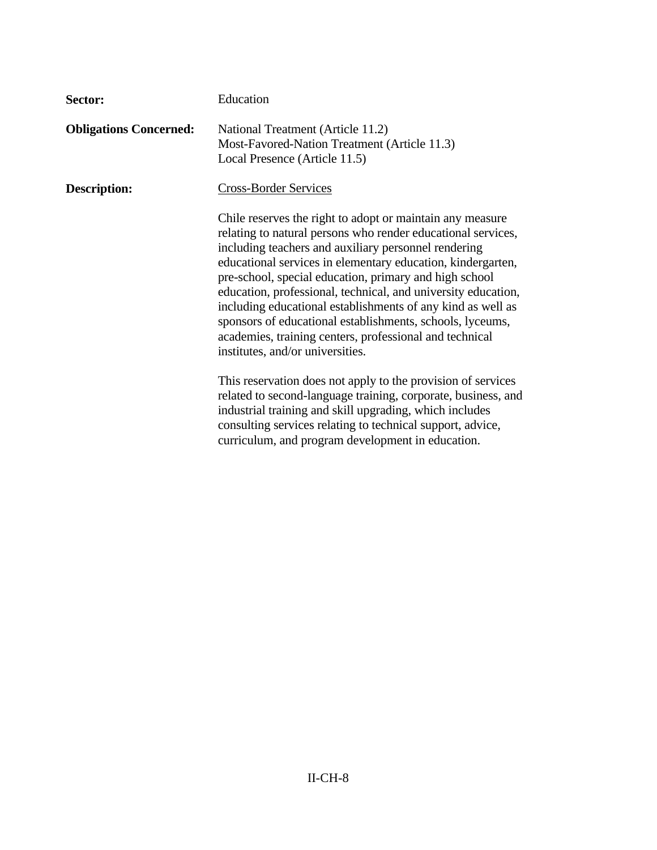| Sector:                       | Education                                                                                                                                                                                                                                                                                                                                                                                                                                                                                                                                                                                              |
|-------------------------------|--------------------------------------------------------------------------------------------------------------------------------------------------------------------------------------------------------------------------------------------------------------------------------------------------------------------------------------------------------------------------------------------------------------------------------------------------------------------------------------------------------------------------------------------------------------------------------------------------------|
| <b>Obligations Concerned:</b> | National Treatment (Article 11.2)<br>Most-Favored-Nation Treatment (Article 11.3)<br>Local Presence (Article 11.5)                                                                                                                                                                                                                                                                                                                                                                                                                                                                                     |
| <b>Description:</b>           | <b>Cross-Border Services</b>                                                                                                                                                                                                                                                                                                                                                                                                                                                                                                                                                                           |
|                               | Chile reserves the right to adopt or maintain any measure<br>relating to natural persons who render educational services,<br>including teachers and auxiliary personnel rendering<br>educational services in elementary education, kindergarten,<br>pre-school, special education, primary and high school<br>education, professional, technical, and university education,<br>including educational establishments of any kind as well as<br>sponsors of educational establishments, schools, lyceums,<br>academies, training centers, professional and technical<br>institutes, and/or universities. |
|                               | This reservation does not apply to the provision of services<br>related to second-language training, corporate, business, and<br>industrial training and skill upgrading, which includes<br>consulting services relating to technical support, advice,<br>curriculum, and program development in education.                                                                                                                                                                                                                                                                                            |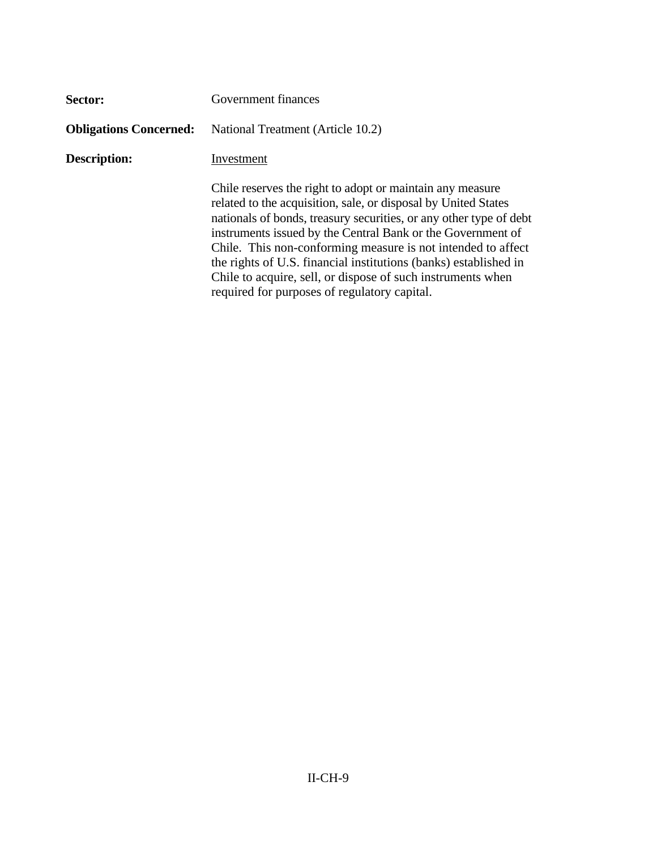| Sector:                       | Government finances                                                                                                                                                                                                                                                                                                                                                                                                                                                                                                 |  |
|-------------------------------|---------------------------------------------------------------------------------------------------------------------------------------------------------------------------------------------------------------------------------------------------------------------------------------------------------------------------------------------------------------------------------------------------------------------------------------------------------------------------------------------------------------------|--|
| <b>Obligations Concerned:</b> | National Treatment (Article 10.2)                                                                                                                                                                                                                                                                                                                                                                                                                                                                                   |  |
| Description:                  | Investment                                                                                                                                                                                                                                                                                                                                                                                                                                                                                                          |  |
|                               | Chile reserves the right to adopt or maintain any measure<br>related to the acquisition, sale, or disposal by United States<br>nationals of bonds, treasury securities, or any other type of debt<br>instruments issued by the Central Bank or the Government of<br>Chile. This non-conforming measure is not intended to affect<br>the rights of U.S. financial institutions (banks) established in<br>Chile to acquire, sell, or dispose of such instruments when<br>required for purposes of regulatory capital. |  |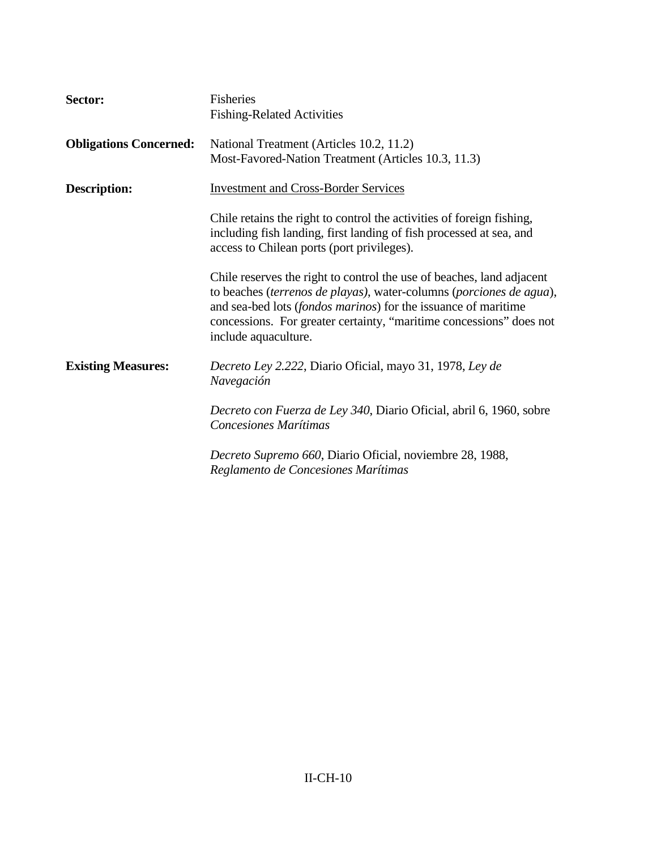| Sector:                       | Fisheries<br><b>Fishing-Related Activities</b>                                                                                                                                                                                                                                                                         |
|-------------------------------|------------------------------------------------------------------------------------------------------------------------------------------------------------------------------------------------------------------------------------------------------------------------------------------------------------------------|
| <b>Obligations Concerned:</b> | National Treatment (Articles 10.2, 11.2)<br>Most-Favored-Nation Treatment (Articles 10.3, 11.3)                                                                                                                                                                                                                        |
| <b>Description:</b>           | <b>Investment and Cross-Border Services</b>                                                                                                                                                                                                                                                                            |
|                               | Chile retains the right to control the activities of foreign fishing,<br>including fish landing, first landing of fish processed at sea, and<br>access to Chilean ports (port privileges).                                                                                                                             |
|                               | Chile reserves the right to control the use of beaches, land adjacent<br>to beaches (terrenos de playas), water-columns (porciones de agua),<br>and sea-bed lots ( <i>fondos marinos</i> ) for the issuance of maritime<br>concessions. For greater certainty, "maritime concessions" does not<br>include aquaculture. |
| <b>Existing Measures:</b>     | Decreto Ley 2.222, Diario Oficial, mayo 31, 1978, Ley de<br>Navegación                                                                                                                                                                                                                                                 |
|                               | Decreto con Fuerza de Ley 340, Diario Oficial, abril 6, 1960, sobre<br>Concesiones Marítimas                                                                                                                                                                                                                           |
|                               | Decreto Supremo 660, Diario Oficial, noviembre 28, 1988,<br>Reglamento de Concesiones Marítimas                                                                                                                                                                                                                        |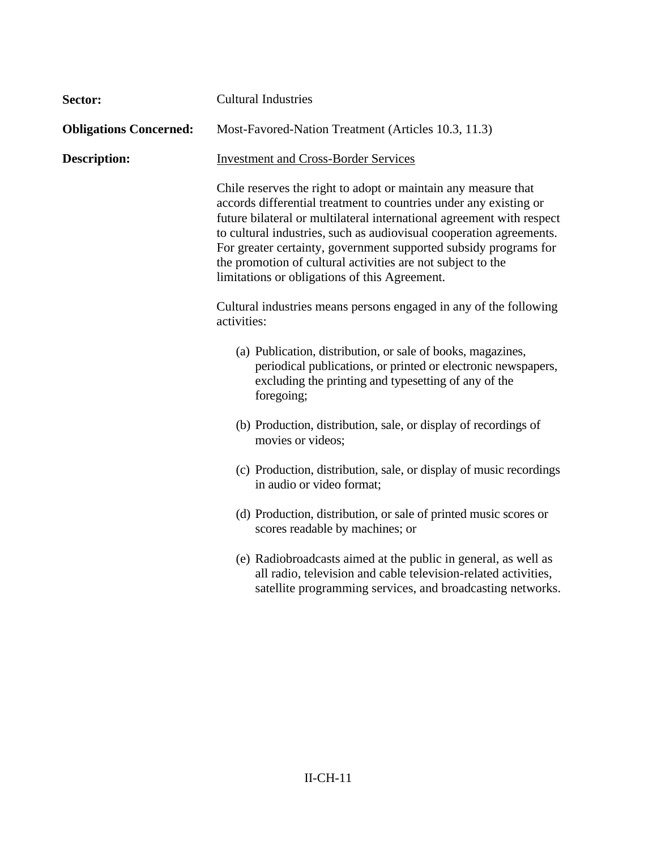| Sector:                       | <b>Cultural Industries</b>                                                                                                                                                                                                                                                                                                                                                                                                                                                                                             |  |
|-------------------------------|------------------------------------------------------------------------------------------------------------------------------------------------------------------------------------------------------------------------------------------------------------------------------------------------------------------------------------------------------------------------------------------------------------------------------------------------------------------------------------------------------------------------|--|
| <b>Obligations Concerned:</b> | Most-Favored-Nation Treatment (Articles 10.3, 11.3)                                                                                                                                                                                                                                                                                                                                                                                                                                                                    |  |
| <b>Description:</b>           | <b>Investment and Cross-Border Services</b><br>Chile reserves the right to adopt or maintain any measure that<br>accords differential treatment to countries under any existing or<br>future bilateral or multilateral international agreement with respect<br>to cultural industries, such as audiovisual cooperation agreements.<br>For greater certainty, government supported subsidy programs for<br>the promotion of cultural activities are not subject to the<br>limitations or obligations of this Agreement. |  |
|                               |                                                                                                                                                                                                                                                                                                                                                                                                                                                                                                                        |  |
|                               | Cultural industries means persons engaged in any of the following<br>activities:                                                                                                                                                                                                                                                                                                                                                                                                                                       |  |
|                               | (a) Publication, distribution, or sale of books, magazines,<br>periodical publications, or printed or electronic newspapers,<br>excluding the printing and typesetting of any of the<br>foregoing;                                                                                                                                                                                                                                                                                                                     |  |
|                               | (b) Production, distribution, sale, or display of recordings of<br>movies or videos;                                                                                                                                                                                                                                                                                                                                                                                                                                   |  |
|                               | (c) Production, distribution, sale, or display of music recordings<br>in audio or video format;                                                                                                                                                                                                                                                                                                                                                                                                                        |  |
|                               | (d) Production, distribution, or sale of printed music scores or<br>scores readable by machines; or                                                                                                                                                                                                                                                                                                                                                                                                                    |  |
|                               | (e) Radiobroadcasts aimed at the public in general, as well as<br>all radio, television and cable television-related activities,<br>satellite programming services, and broadcasting networks.                                                                                                                                                                                                                                                                                                                         |  |
|                               |                                                                                                                                                                                                                                                                                                                                                                                                                                                                                                                        |  |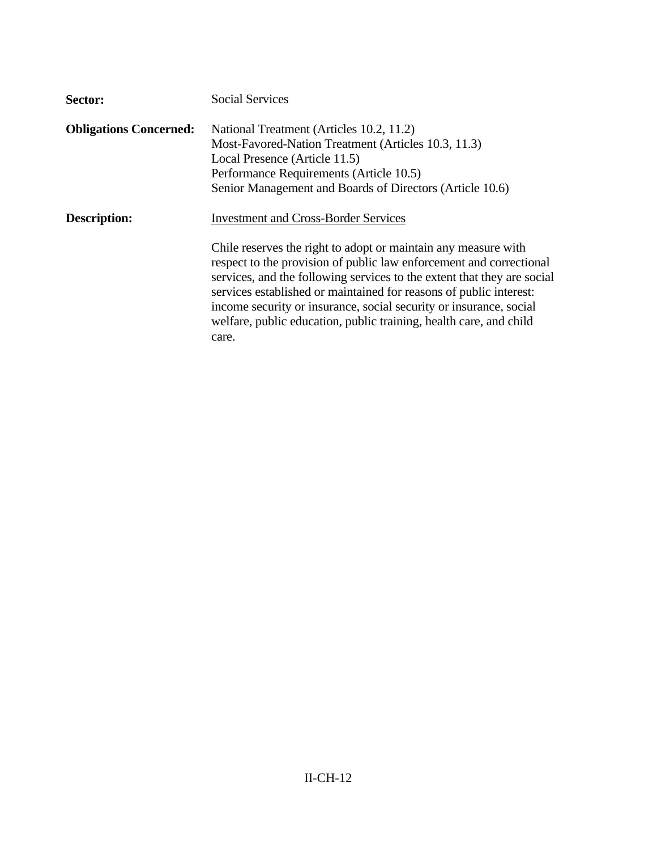| Sector:                       | <b>Social Services</b>                                                                                                                                                                                                                                                                                                                                                                                                                                                                     |
|-------------------------------|--------------------------------------------------------------------------------------------------------------------------------------------------------------------------------------------------------------------------------------------------------------------------------------------------------------------------------------------------------------------------------------------------------------------------------------------------------------------------------------------|
| <b>Obligations Concerned:</b> | National Treatment (Articles 10.2, 11.2)<br>Most-Favored-Nation Treatment (Articles 10.3, 11.3)<br>Local Presence (Article 11.5)<br>Performance Requirements (Article 10.5)<br>Senior Management and Boards of Directors (Article 10.6)                                                                                                                                                                                                                                                    |
| Description:                  | <b>Investment and Cross-Border Services</b><br>Chile reserves the right to adopt or maintain any measure with<br>respect to the provision of public law enforcement and correctional<br>services, and the following services to the extent that they are social<br>services established or maintained for reasons of public interest:<br>income security or insurance, social security or insurance, social<br>welfare, public education, public training, health care, and child<br>care. |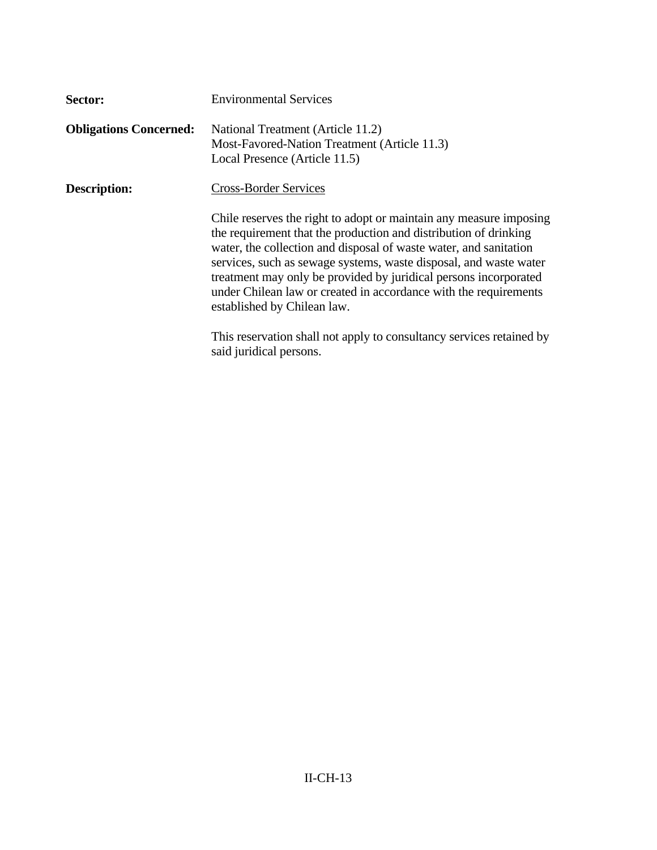| Sector:                       | <b>Environmental Services</b>                                                                                                                                                                                                                                                                                                                                                                                                                           |
|-------------------------------|---------------------------------------------------------------------------------------------------------------------------------------------------------------------------------------------------------------------------------------------------------------------------------------------------------------------------------------------------------------------------------------------------------------------------------------------------------|
| <b>Obligations Concerned:</b> | National Treatment (Article 11.2)<br>Most-Favored-Nation Treatment (Article 11.3)<br>Local Presence (Article 11.5)                                                                                                                                                                                                                                                                                                                                      |
| <b>Description:</b>           | <b>Cross-Border Services</b>                                                                                                                                                                                                                                                                                                                                                                                                                            |
|                               | Chile reserves the right to adopt or maintain any measure imposing<br>the requirement that the production and distribution of drinking<br>water, the collection and disposal of waste water, and sanitation<br>services, such as sewage systems, waste disposal, and waste water<br>treatment may only be provided by juridical persons incorporated<br>under Chilean law or created in accordance with the requirements<br>established by Chilean law. |
|                               | This reservation shall not apply to consultancy services retained by<br>said juridical persons.                                                                                                                                                                                                                                                                                                                                                         |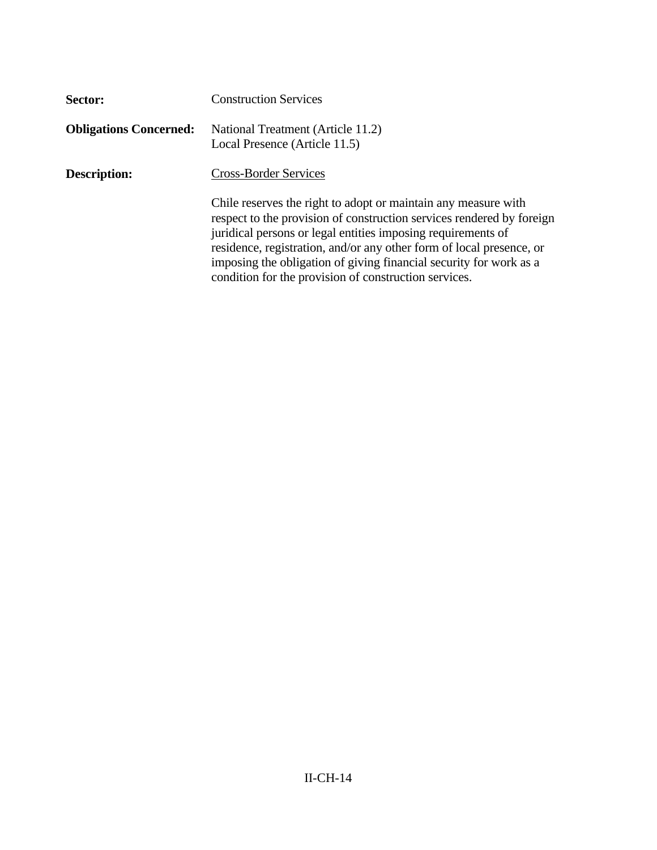| Sector:                       | <b>Construction Services</b>                                                                                                                                                                                                                                                                                                                                                                                   |
|-------------------------------|----------------------------------------------------------------------------------------------------------------------------------------------------------------------------------------------------------------------------------------------------------------------------------------------------------------------------------------------------------------------------------------------------------------|
| <b>Obligations Concerned:</b> | National Treatment (Article 11.2)<br>Local Presence (Article 11.5)                                                                                                                                                                                                                                                                                                                                             |
| <b>Description:</b>           | <b>Cross-Border Services</b>                                                                                                                                                                                                                                                                                                                                                                                   |
|                               | Chile reserves the right to adopt or maintain any measure with<br>respect to the provision of construction services rendered by foreign<br>juridical persons or legal entities imposing requirements of<br>residence, registration, and/or any other form of local presence, or<br>imposing the obligation of giving financial security for work as a<br>condition for the provision of construction services. |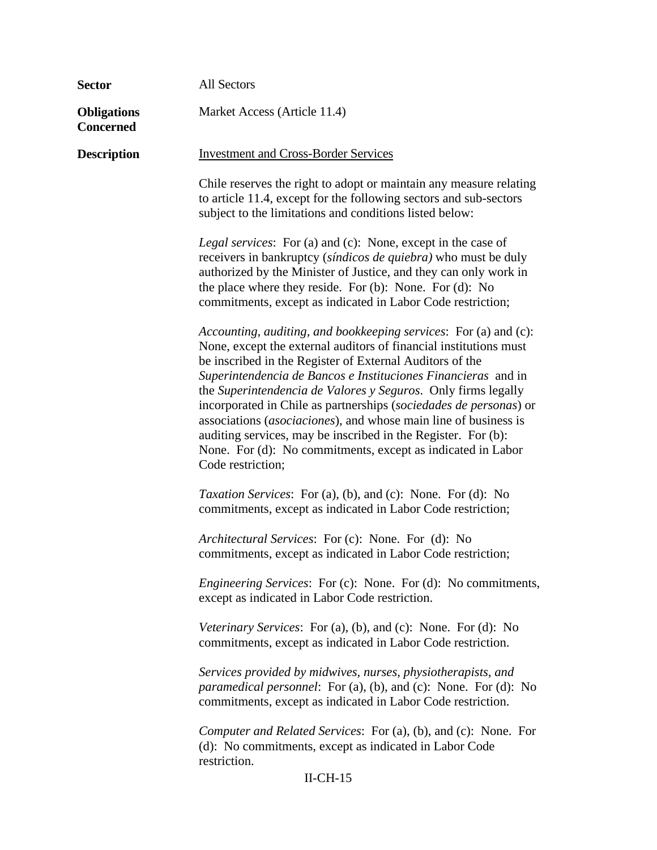| <b>Sector</b>                          | All Sectors                                                                                                                                                                                                                                                                                                                                                                                                                                                                                                                                                                                                                      |  |
|----------------------------------------|----------------------------------------------------------------------------------------------------------------------------------------------------------------------------------------------------------------------------------------------------------------------------------------------------------------------------------------------------------------------------------------------------------------------------------------------------------------------------------------------------------------------------------------------------------------------------------------------------------------------------------|--|
| <b>Obligations</b><br><b>Concerned</b> | Market Access (Article 11.4)                                                                                                                                                                                                                                                                                                                                                                                                                                                                                                                                                                                                     |  |
| <b>Description</b>                     | <b>Investment and Cross-Border Services</b>                                                                                                                                                                                                                                                                                                                                                                                                                                                                                                                                                                                      |  |
|                                        | Chile reserves the right to adopt or maintain any measure relating<br>to article 11.4, except for the following sectors and sub-sectors<br>subject to the limitations and conditions listed below:                                                                                                                                                                                                                                                                                                                                                                                                                               |  |
|                                        | <i>Legal services</i> : For (a) and (c): None, except in the case of<br>receivers in bankruptcy (síndicos de quiebra) who must be duly<br>authorized by the Minister of Justice, and they can only work in<br>the place where they reside. For (b): None. For (d): No<br>commitments, except as indicated in Labor Code restriction;                                                                                                                                                                                                                                                                                             |  |
|                                        | Accounting, auditing, and bookkeeping services: For (a) and (c):<br>None, except the external auditors of financial institutions must<br>be inscribed in the Register of External Auditors of the<br>Superintendencia de Bancos e Instituciones Financieras and in<br>the Superintendencia de Valores y Seguros. Only firms legally<br>incorporated in Chile as partnerships (sociedades de personas) or<br>associations (asociaciones), and whose main line of business is<br>auditing services, may be inscribed in the Register. For (b):<br>None. For (d): No commitments, except as indicated in Labor<br>Code restriction; |  |
|                                        | Taxation Services: For (a), (b), and (c): None. For (d): No<br>commitments, except as indicated in Labor Code restriction;                                                                                                                                                                                                                                                                                                                                                                                                                                                                                                       |  |
|                                        | Architectural Services: For (c): None. For (d): No<br>commitments, except as indicated in Labor Code restriction;                                                                                                                                                                                                                                                                                                                                                                                                                                                                                                                |  |
|                                        | <i>Engineering Services:</i> For (c): None. For (d): No commitments,<br>except as indicated in Labor Code restriction.                                                                                                                                                                                                                                                                                                                                                                                                                                                                                                           |  |
|                                        | Veterinary Services: For (a), (b), and (c): None. For (d): No<br>commitments, except as indicated in Labor Code restriction.                                                                                                                                                                                                                                                                                                                                                                                                                                                                                                     |  |
|                                        | Services provided by midwives, nurses, physiotherapists, and<br><i>paramedical personnel</i> : For (a), (b), and (c): None. For (d): No<br>commitments, except as indicated in Labor Code restriction.                                                                                                                                                                                                                                                                                                                                                                                                                           |  |
|                                        | Computer and Related Services: For (a), (b), and (c): None. For<br>(d): No commitments, except as indicated in Labor Code<br>restriction.                                                                                                                                                                                                                                                                                                                                                                                                                                                                                        |  |
| $II$ -CH- $15$                         |                                                                                                                                                                                                                                                                                                                                                                                                                                                                                                                                                                                                                                  |  |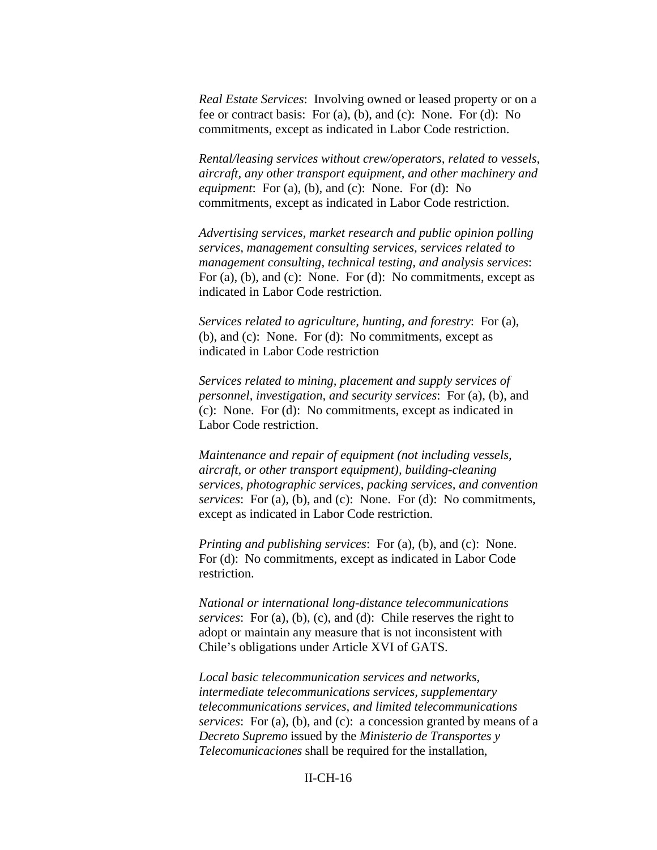*Real Estate Services*: Involving owned or leased property or on a fee or contract basis: For (a), (b), and (c): None. For (d): No commitments, except as indicated in Labor Code restriction.

*Rental/leasing services without crew/operators, related to vessels, aircraft, any other transport equipment, and other machinery and equipment*: For (a), (b), and (c): None. For (d): No commitments, except as indicated in Labor Code restriction.

*Advertising services, market research and public opinion polling services, management consulting services, services related to management consulting, technical testing, and analysis services*: For (a), (b), and (c): None. For (d): No commitments, except as indicated in Labor Code restriction.

*Services related to agriculture, hunting, and forestry*: For (a), (b), and (c): None. For (d): No commitments, except as indicated in Labor Code restriction

*Services related to mining, placement and supply services of personnel, investigation, and security services*: For (a), (b), and (c): None. For (d): No commitments, except as indicated in Labor Code restriction.

*Maintenance and repair of equipment (not including vessels, aircraft, or other transport equipment), building-cleaning services, photographic services, packing services, and convention services*: For (a), (b), and (c): None. For (d): No commitments, except as indicated in Labor Code restriction.

*Printing and publishing services*: For (a), (b), and (c): None. For (d): No commitments, except as indicated in Labor Code restriction.

*National or international long-distance telecommunications services*: For (a), (b), (c), and (d): Chile reserves the right to adopt or maintain any measure that is not inconsistent with Chile's obligations under Article XVI of GATS.

*Local basic telecommunication services and networks, intermediate telecommunications services, supplementary telecommunications services, and limited telecommunications services*: For (a), (b), and (c): a concession granted by means of a *Decreto Supremo* issued by the *Ministerio de Transportes y Telecomunicaciones* shall be required for the installation,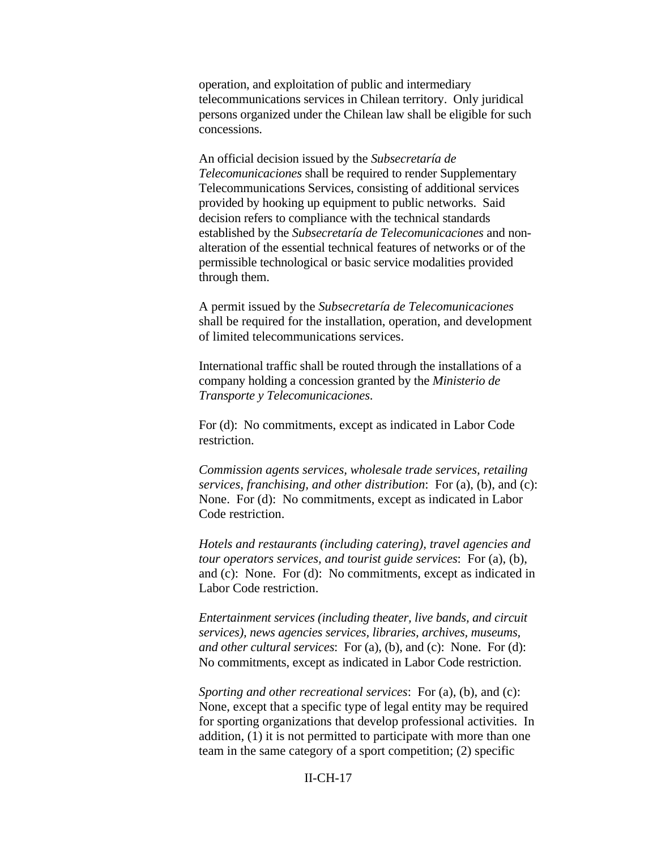operation, and exploitation of public and intermediary telecommunications services in Chilean territory. Only juridical persons organized under the Chilean law shall be eligible for such concessions.

An official decision issued by the *Subsecretaría de Telecomunicaciones* shall be required to render Supplementary Telecommunications Services, consisting of additional services provided by hooking up equipment to public networks. Said decision refers to compliance with the technical standards established by the *Subsecretaría de Telecomunicaciones* and nonalteration of the essential technical features of networks or of the permissible technological or basic service modalities provided through them.

A permit issued by the *Subsecretaría de Telecomunicaciones*  shall be required for the installation, operation, and development of limited telecommunications services.

International traffic shall be routed through the installations of a company holding a concession granted by the *Ministerio de Transporte y Telecomunicaciones*.

For (d): No commitments, except as indicated in Labor Code restriction.

*Commission agents services, wholesale trade services, retailing services, franchising, and other distribution*: For (a), (b), and (c): None. For (d): No commitments, except as indicated in Labor Code restriction.

*Hotels and restaurants (including catering), travel agencies and tour operators services, and tourist guide services*: For (a), (b), and (c): None. For (d): No commitments, except as indicated in Labor Code restriction.

*Entertainment services (including theater, live bands, and circuit services), news agencies services, libraries, archives, museums, and other cultural services*: For (a), (b), and (c): None. For (d): No commitments, except as indicated in Labor Code restriction.

*Sporting and other recreational services*: For (a), (b), and (c): None, except that a specific type of legal entity may be required for sporting organizations that develop professional activities. In addition, (1) it is not permitted to participate with more than one team in the same category of a sport competition; (2) specific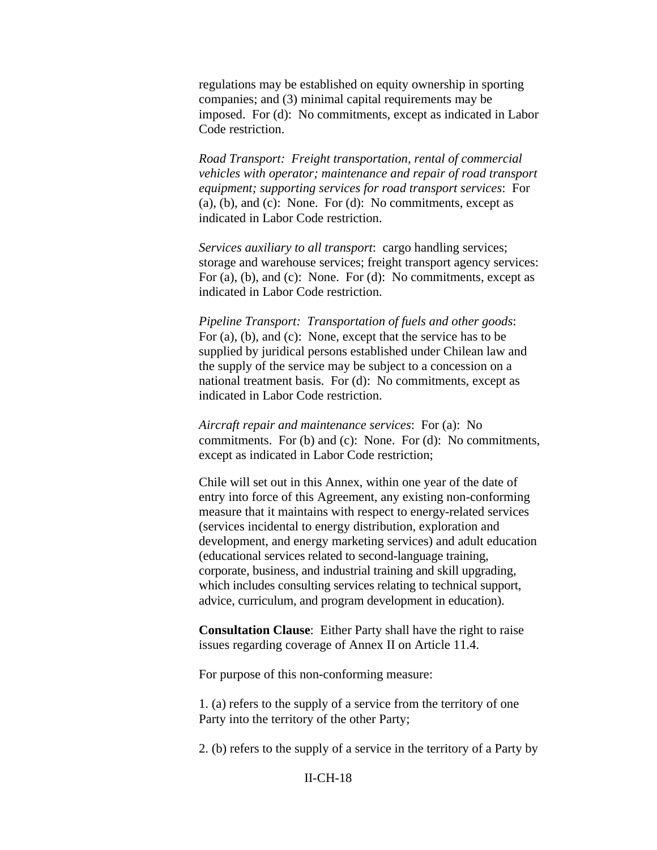regulations may be established on equity ownership in sporting companies; and (3) minimal capital requirements may be imposed. For (d): No commitments, except as indicated in Labor Code restriction.

*Road Transport: Freight transportation, rental of commercial vehicles with operator; maintenance and repair of road transport equipment; supporting services for road transport services*: For  $(a)$ ,  $(b)$ , and  $(c)$ : None. For  $(d)$ : No commitments, except as indicated in Labor Code restriction.

*Services auxiliary to all transport*: cargo handling services; storage and warehouse services; freight transport agency services: For (a), (b), and (c): None. For (d): No commitments, except as indicated in Labor Code restriction.

*Pipeline Transport: Transportation of fuels and other goods*: For (a), (b), and (c): None, except that the service has to be supplied by juridical persons established under Chilean law and the supply of the service may be subject to a concession on a national treatment basis. For (d): No commitments, except as indicated in Labor Code restriction.

*Aircraft repair and maintenance services*: For (a): No commitments. For (b) and (c): None. For (d): No commitments, except as indicated in Labor Code restriction;

Chile will set out in this Annex, within one year of the date of entry into force of this Agreement, any existing non-conforming measure that it maintains with respect to energy-related services (services incidental to energy distribution, exploration and development, and energy marketing services) and adult education (educational services related to second-language training, corporate, business, and industrial training and skill upgrading, which includes consulting services relating to technical support, advice, curriculum, and program development in education).

**Consultation Clause**: Either Party shall have the right to raise issues regarding coverage of Annex II on Article 11.4.

For purpose of this non-conforming measure:

1. (a) refers to the supply of a service from the territory of one Party into the territory of the other Party;

2. (b) refers to the supply of a service in the territory of a Party by